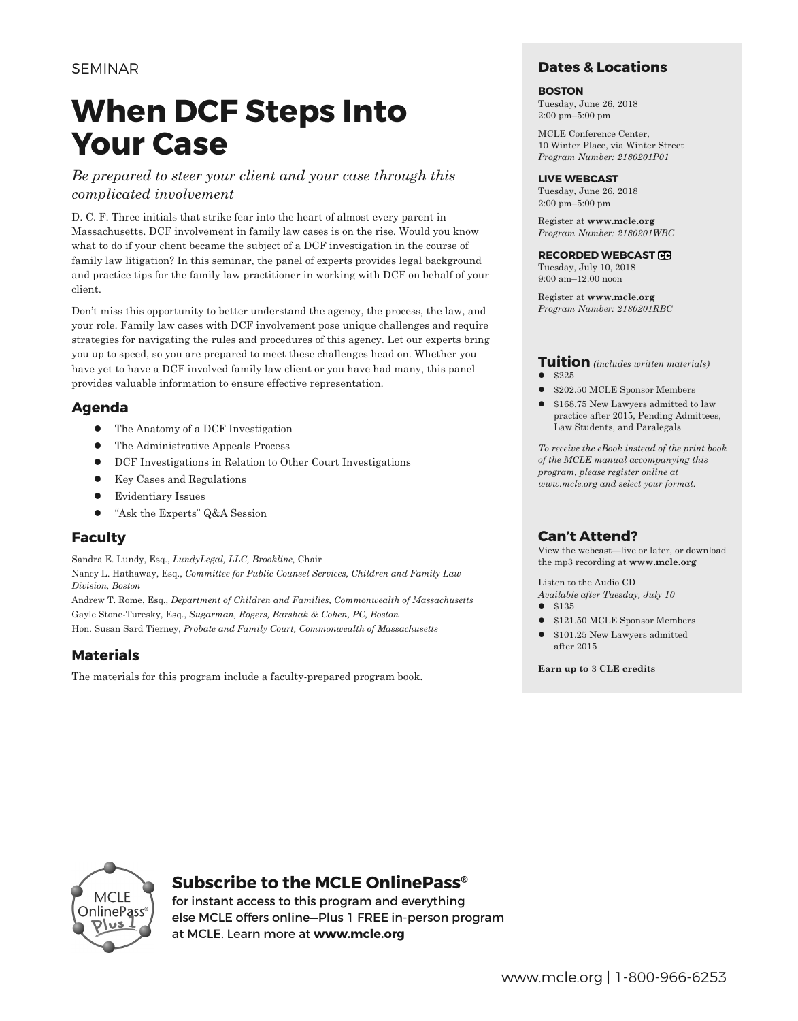## **When DCF Steps Into Your Case**

#### *Be prepared to steer your client and your case through this complicated involvement*

D. C. F. Three initials that strike fear into the heart of almost every parent in Massachusetts. DCF involvement in family law cases is on the rise. Would you know what to do if your client became the subject of a DCF investigation in the course of family law litigation? In this seminar, the panel of experts provides legal background and practice tips for the family law practitioner in working with DCF on behalf of your client.

Don't miss this opportunity to better understand the agency, the process, the law, and your role. Family law cases with DCF involvement pose unique challenges and require strategies for navigating the rules and procedures of this agency. Let our experts bring you up to speed, so you are prepared to meet these challenges head on. Whether you have yet to have a DCF involved family law client or you have had many, this panel provides valuable information to ensure effective representation.

#### **Agenda**

- The Anatomy of a DCF Investigation
- The Administrative Appeals Process
- DCF Investigations in Relation to Other Court Investigations
- $\bullet$  Key Cases and Regulations
- **•** Evidentiary Issues
- "Ask the Experts" Q&A Session

#### **Faculty**

Sandra E. Lundy, Esq., *LundyLegal, LLC, Brookline,* Chair Nancy L. Hathaway, Esq., *Committee for Public Counsel Services, Children and Family Law Division, Boston*

Andrew T. Rome, Esq., *Department of Children and Families, Commonwealth of Massachusetts* Gayle Stone-Turesky, Esq., *Sugarman, Rogers, Barshak & Cohen, PC, Boston* Hon. Susan Sard Tierney, *Probate and Family Court, Commonwealth of Massachusetts*

#### **Materials**

The materials for this program include a faculty-prepared program book.

#### **Dates & Locations**

#### **BOSTON**

Tuesday, June 26, 2018 2:00 pm–5:00 pm

MCLE Conference Center, 10 Winter Place, via Winter Street *Program Number: 2180201P01*

#### **LIVE WEBCAST**

Tuesday, June 26, 2018 2:00 pm–5:00 pm

Register at **www.mcle.org** *Program Number: 2180201WBC*

#### **RECORDED WEBCAST**

Tuesday, July 10, 2018 9:00 am–12:00 noon

Register at **www.mcle.org** *Program Number: 2180201RBC*

#### **Tuition** *(includes written materials)* l \$225

- l \$202.50 MCLE Sponsor Members
- l \$168.75 New Lawyers admitted to law practice after 2015, Pending Admittees, Law Students, and Paralegals

*To receive the eBook instead of the print book of the MCLE manual accompanying this program, please register online at www.mcle.org and select your format.*

#### **Can't Attend?**

View the webcast—live or later, or download the mp3 recording at **www.mcle.org**

Listen to the Audio CD *Available after Tuesday, July 10*

- $\bullet$  \$135
- \$121.50 MCLE Sponsor Members
- $\bullet$  \$101.25 New Lawyers admitted after 2015

**Earn up to 3 CLE credits**



#### **Subscribe to the MCLE OnlinePass®**

for instant access to this program and everything else MCLE offers online—Plus 1 FREE in-person program at MCLE. Learn more at **www.mcle.org**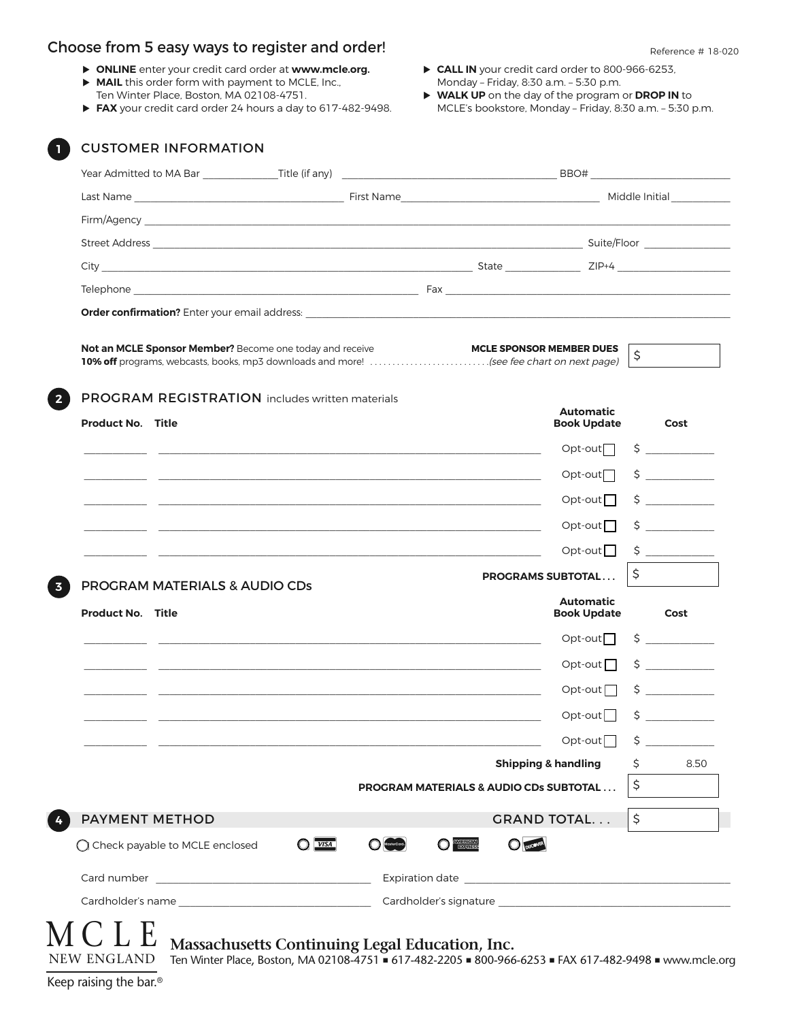#### Choose from 5 easy ways to register and order! The contract of the second series and  $R$  reference # 18-020

- u **ONLINE** enter your credit card order at **www.mcle.org.**
- **MAIL** this order form with payment to MCLE, Inc., Ten Winter Place, Boston, MA 02108-4751.
- ▶ FAX your credit card order 24 hours a day to 617-482-9498.
- ▶ CALL IN your credit card order to 800-966-6253, Monday – Friday, 8:30 a.m. – 5:30 p.m.
- u **WALK UP** on the day of the program or **DROP IN** to MCLE's bookstore, Monday – Friday, 8:30 a.m. – 5:30 p.m.

|                                                           | <b>Not an MCLE Sponsor Member?</b> Become one today and receive<br>10% off programs, webcasts, books, mp3 downloads and more! (see fee chart on next page) |                                | <b>MCLE SPONSOR MEMBER DUES</b>                                                                                       | \$ |                                                                                   |
|-----------------------------------------------------------|------------------------------------------------------------------------------------------------------------------------------------------------------------|--------------------------------|-----------------------------------------------------------------------------------------------------------------------|----|-----------------------------------------------------------------------------------|
| <b>Product No. Title</b>                                  | <b>PROGRAM REGISTRATION</b> includes written materials                                                                                                     |                                | <b>Automatic</b><br><b>Book Update</b>                                                                                |    | Cost                                                                              |
|                                                           |                                                                                                                                                            |                                | $Opt-out$                                                                                                             |    | $\zeta$                                                                           |
|                                                           |                                                                                                                                                            |                                | $Opt-out$                                                                                                             |    | $\frac{1}{2}$                                                                     |
|                                                           |                                                                                                                                                            |                                | $Opt-out$                                                                                                             |    | $\zeta$                                                                           |
|                                                           |                                                                                                                                                            |                                | $Opt-out$                                                                                                             |    | $\zeta$                                                                           |
|                                                           |                                                                                                                                                            |                                | Opt-out $\Box$                                                                                                        |    |                                                                                   |
|                                                           |                                                                                                                                                            |                                | <b>PROGRAMS SUBTOTAL</b>                                                                                              | \$ |                                                                                   |
| PROGRAM MATERIALS & AUDIO CDs<br><b>Product No. Title</b> |                                                                                                                                                            |                                | <b>Automatic</b><br><b>Book Update</b>                                                                                |    | Cost                                                                              |
|                                                           |                                                                                                                                                            |                                | $Opt-out$                                                                                                             |    | $\begin{array}{c} \n \uparrow \\ \n \downarrow \n \end{array}$                    |
|                                                           |                                                                                                                                                            |                                | Opt-out $\Box$                                                                                                        |    | $\begin{array}{c c} \n\text{S} & \text{S} & \text{S} & \text{S} \\ \n\end{array}$ |
|                                                           |                                                                                                                                                            |                                | $Opt-out$                                                                                                             |    |                                                                                   |
|                                                           |                                                                                                                                                            |                                | $Opt-out$                                                                                                             | \$ |                                                                                   |
|                                                           |                                                                                                                                                            |                                | $Opt-out$                                                                                                             | \$ | <u> 1999 - Jan Jawa</u>                                                           |
|                                                           |                                                                                                                                                            |                                | <b>Shipping &amp; handling</b>                                                                                        | \$ | 8.50                                                                              |
|                                                           |                                                                                                                                                            |                                | <b>PROGRAM MATERIALS &amp; AUDIO CDs SUBTOTAL</b>                                                                     | \$ |                                                                                   |
| <b>PAYMENT METHOD</b>                                     |                                                                                                                                                            |                                | <b>GRAND TOTAL</b>                                                                                                    | \$ |                                                                                   |
| ◯ Check payable to MCLE enclosed                          | $Q$ <i>VISA</i>                                                                                                                                            | <b>O <i><b>EXHELEN</b></i></b> | <b>DUCOVER</b>                                                                                                        |    |                                                                                   |
|                                                           |                                                                                                                                                            |                                | Expiration date <u>contract and a series of the series of the series of the series of the series of the series of</u> |    |                                                                                   |
|                                                           |                                                                                                                                                            |                                |                                                                                                                       |    |                                                                                   |

NEW ENGLAND Ten Winter Place, Boston, MA 02108-4751 ■ 617-482-2205 ■ 800-966-6253 ■ FAX 617-482-9498 ■ www.mcle.org

Keep raising the bar.®